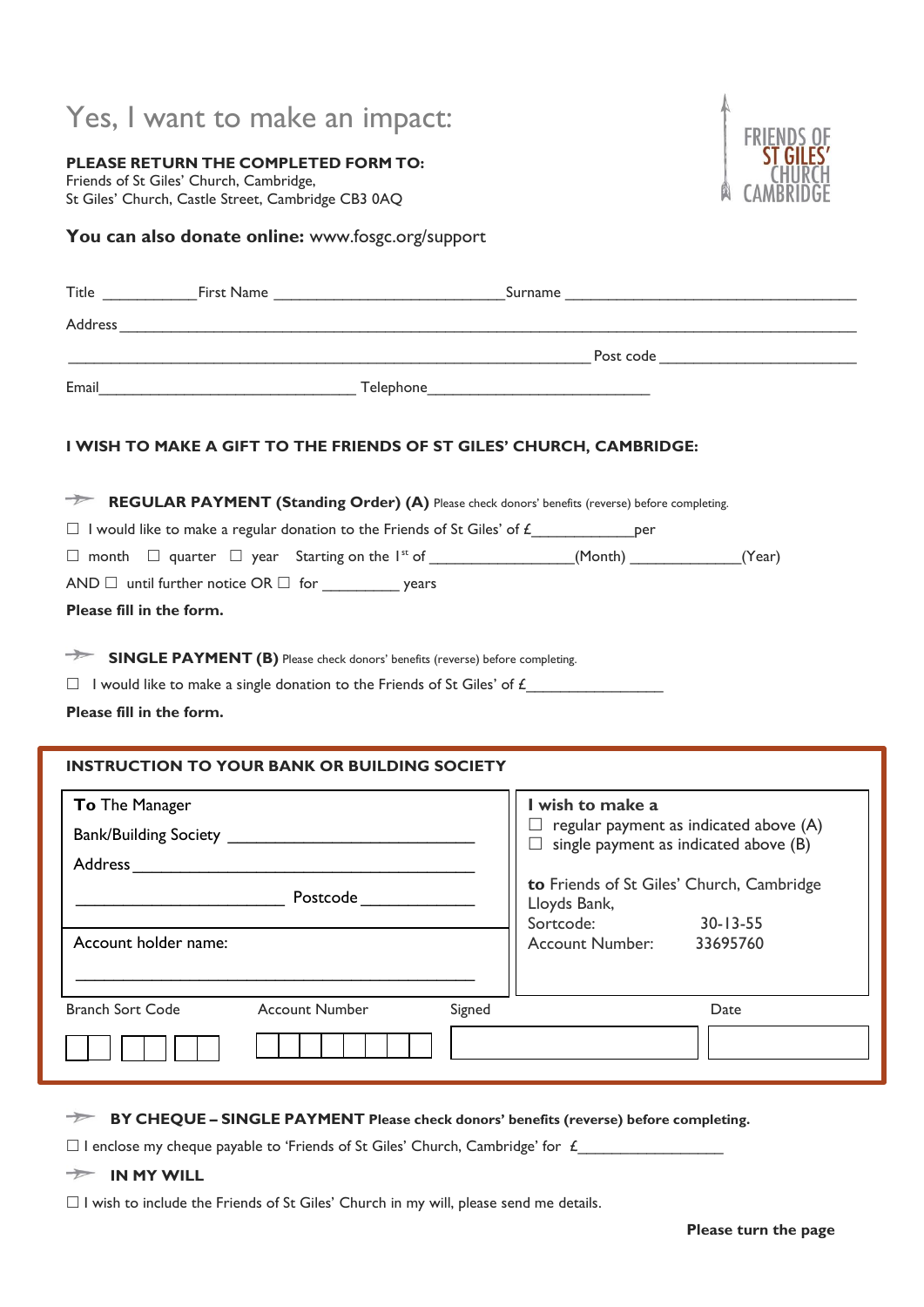# Yes, I want to make an impact:

**PLEASE RETURN THE COMPLETED FORM TO:** Friends of St Giles' Church, Cambridge, St Giles' Church, Castle Street, Cambridge CB3 0AQ



### You can also donate online: www.fosgc.org/support

|                                           |                                                     | I WISH TO MAKE A GIFT TO THE FRIENDS OF ST GILES' CHURCH, CAMBRIDGE:                                                                                                           |
|-------------------------------------------|-----------------------------------------------------|--------------------------------------------------------------------------------------------------------------------------------------------------------------------------------|
|                                           |                                                     | REGULAR PAYMENT (Standing Order) (A) Please check donors' benefits (reverse) before completing.                                                                                |
|                                           |                                                     | $\Box$ I would like to make a regular donation to the Friends of St Giles' of $f$ per                                                                                          |
|                                           |                                                     | $\Box$ month $\Box$ quarter $\Box$ year Starting on the I <sup>st</sup> of ________________(Month) ___________(Year)                                                           |
|                                           |                                                     |                                                                                                                                                                                |
| Please fill in the form.                  |                                                     |                                                                                                                                                                                |
| Please fill in the form.                  |                                                     | <b>SINGLE PAYMENT (B)</b> Please check donors' benefits (reverse) before completing.<br>$\Box$ I would like to make a single donation to the Friends of St Giles' of $\pounds$ |
|                                           | <b>INSTRUCTION TO YOUR BANK OR BUILDING SOCIETY</b> |                                                                                                                                                                                |
|                                           |                                                     | I wish to make a                                                                                                                                                               |
|                                           |                                                     | $\Box$ regular payment as indicated above (A)                                                                                                                                  |
|                                           |                                                     | $\Box$ single payment as indicated above (B)                                                                                                                                   |
|                                           | <b>Example 2018</b> Postcode 2019 19:30:30 Postcode | to Friends of St Giles' Church, Cambridge                                                                                                                                      |
|                                           |                                                     | Lloyds Bank,<br>Sortcode:<br>$30 - 13 - 55$                                                                                                                                    |
|                                           | Account holder name:                                | <b>Account Number:</b><br>33695760                                                                                                                                             |
|                                           |                                                     |                                                                                                                                                                                |
| To The Manager<br><b>Branch Sort Code</b> | <b>Account Number</b>                               | Signed<br>Date                                                                                                                                                                 |
|                                           |                                                     |                                                                                                                                                                                |

**BY CHEQUE – SINGLE PAYMENT Please check donors' benefits (reverse) before completing.**

 $\square$  I enclose my cheque payable to 'Friends of St Giles' Church, Cambridge' for  $f_1$ 

**IN MY WILL**

 $\Box$  I wish to include the Friends of St Giles' Church in my will, please send me details.